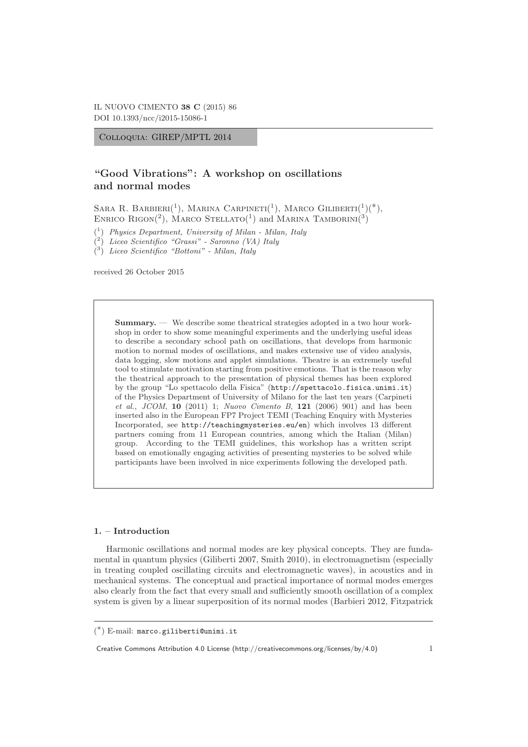Colloquia: GIREP/MPTL 2014

# **"Good Vibrations": A workshop on oscillations and normal modes**

SARA R. BARBIERI<sup>(1</sup>), MARINA CARPINETI<sup>(1</sup>), MARCO GILIBERTI<sup>(1</sup>)<sup>(\*</sup>), ENRICO RIGON(2), MARCO STELLATO(1) and MARINA TAMBORINI(3)

( <sup>1</sup>) Physics Department, University of Milan - Milan, Italy

( <sup>2</sup>) Liceo Scientifico "Grassi" - Saronno (VA) Italy

( <sup>3</sup>) Liceo Scientifico "Bottoni" - Milan, Italy

received 26 October 2015

**Summary.** — We describe some theatrical strategies adopted in a two hour workshop in order to show some meaningful experiments and the underlying useful ideas to describe a secondary school path on oscillations, that develops from harmonic motion to normal modes of oscillations, and makes extensive use of video analysis, data logging, slow motions and applet simulations. Theatre is an extremely useful tool to stimulate motivation starting from positive emotions. That is the reason why the theatrical approach to the presentation of physical themes has been explored by the group "Lo spettacolo della Fisica" (http://spettacolo.fisica.unimi.it) of the Physics Department of University of Milano for the last ten years (Carpineti et al., JCOM, **10** (2011) 1; Nuovo Cimento B, **121** (2006) 901) and has been inserted also in the European FP7 Project TEMI (Teaching Enquiry with Mysteries Incorporated, see http://teachingmysteries.eu/en) which involves 13 different partners coming from 11 European countries, among which the Italian (Milan) group. According to the TEMI guidelines, this workshop has a written script based on emotionally engaging activities of presenting mysteries to be solved while participants have been involved in nice experiments following the developed path.

## **1. – Introduction**

Harmonic oscillations and normal modes are key physical concepts. They are fundamental in quantum physics (Giliberti 2007, Smith 2010), in electromagnetism (especially in treating coupled oscillating circuits and electromagnetic waves), in acoustics and in mechanical systems. The conceptual and practical importance of normal modes emerges also clearly from the fact that every small and sufficiently smooth oscillation of a complex system is given by a linear superposition of its normal modes (Barbieri 2012, Fitzpatrick

Creative Commons Attribution 4.0 License (http://creativecommons.org/licenses/by/4.0) 1

<sup>(</sup> ∗) E-mail: marco.giliberti@unimi.it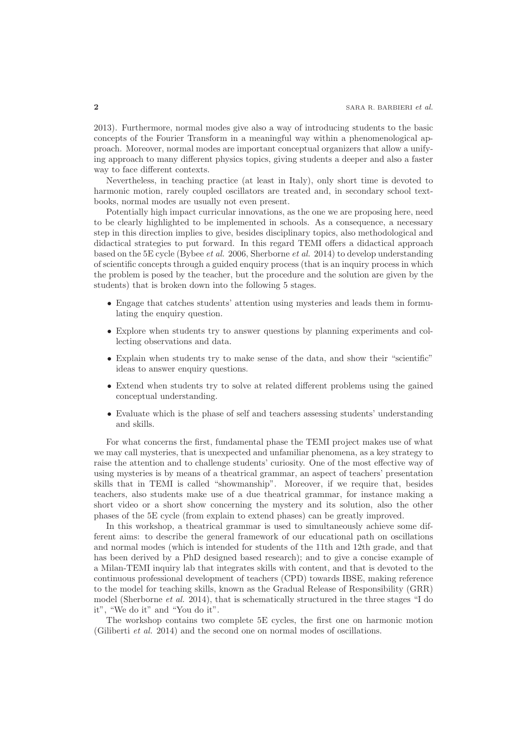2013). Furthermore, normal modes give also a way of introducing students to the basic concepts of the Fourier Transform in a meaningful way within a phenomenological approach. Moreover, normal modes are important conceptual organizers that allow a unifying approach to many different physics topics, giving students a deeper and also a faster way to face different contexts.

Nevertheless, in teaching practice (at least in Italy), only short time is devoted to harmonic motion, rarely coupled oscillators are treated and, in secondary school textbooks, normal modes are usually not even present.

Potentially high impact curricular innovations, as the one we are proposing here, need to be clearly highlighted to be implemented in schools. As a consequence, a necessary step in this direction implies to give, besides disciplinary topics, also methodological and didactical strategies to put forward. In this regard TEMI offers a didactical approach based on the 5E cycle (Bybee et al. 2006, Sherborne et al. 2014) to develop understanding of scientific concepts through a guided enquiry process (that is an inquiry process in which the problem is posed by the teacher, but the procedure and the solution are given by the students) that is broken down into the following 5 stages.

- Engage that catches students' attention using mysteries and leads them in formulating the enquiry question.
- Explore when students try to answer questions by planning experiments and collecting observations and data.
- Explain when students try to make sense of the data, and show their "scientific" ideas to answer enquiry questions.
- Extend when students try to solve at related different problems using the gained conceptual understanding.
- Evaluate which is the phase of self and teachers assessing students' understanding and skills.

For what concerns the first, fundamental phase the TEMI project makes use of what we may call mysteries, that is unexpected and unfamiliar phenomena, as a key strategy to raise the attention and to challenge students' curiosity. One of the most effective way of using mysteries is by means of a theatrical grammar, an aspect of teachers' presentation skills that in TEMI is called "showmanship". Moreover, if we require that, besides teachers, also students make use of a due theatrical grammar, for instance making a short video or a short show concerning the mystery and its solution, also the other phases of the 5E cycle (from explain to extend phases) can be greatly improved.

In this workshop, a theatrical grammar is used to simultaneously achieve some different aims: to describe the general framework of our educational path on oscillations and normal modes (which is intended for students of the 11th and 12th grade, and that has been derived by a PhD designed based research); and to give a concise example of a Milan-TEMI inquiry lab that integrates skills with content, and that is devoted to the continuous professional development of teachers (CPD) towards IBSE, making reference to the model for teaching skills, known as the Gradual Release of Responsibility (GRR) model (Sherborne et al. 2014), that is schematically structured in the three stages "I do it", "We do it" and "You do it".

The workshop contains two complete 5E cycles, the first one on harmonic motion (Giliberti et al. 2014) and the second one on normal modes of oscillations.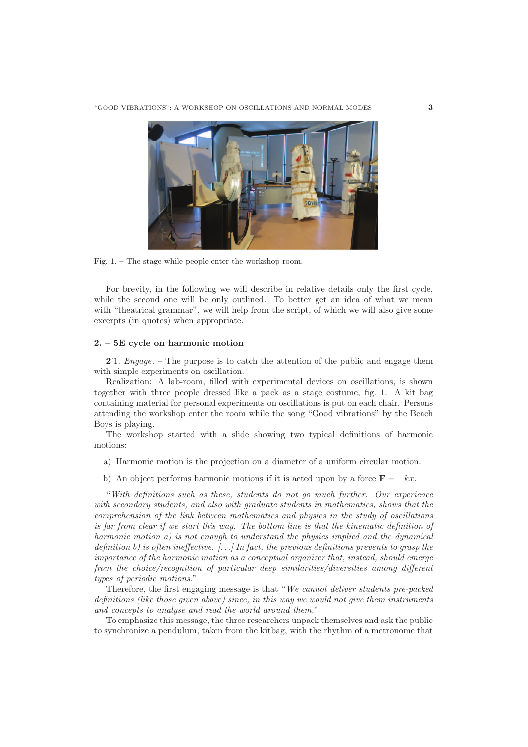

Fig. 1. – The stage while people enter the workshop room.

For brevity, in the following we will describe in relative details only the first cycle, while the second one will be only outlined. To better get an idea of what we mean with "theatrical grammar", we will help from the script, of which we will also give some excerpts (in quotes) when appropriate.

### **2. – 5E cycle on harmonic motion**

**2**. 1. Engage. – The purpose is to catch the attention of the public and engage them with simple experiments on oscillation.

Realization: A lab-room, filled with experimental devices on oscillations, is shown together with three people dressed like a pack as a stage costume, fig. 1. A kit bag containing material for personal experiments on oscillations is put on each chair. Persons attending the workshop enter the room while the song "Good vibrations" by the Beach Boys is playing.

The workshop started with a slide showing two typical definitions of harmonic motions:

- a) Harmonic motion is the projection on a diameter of a uniform circular motion.
- b) An object performs harmonic motions if it is acted upon by a force  $\mathbf{F} = -kx$ .

"With definitions such as these, students do not go much further. Our experience with secondary students, and also with graduate students in mathematics, shows that the comprehension of the link between mathematics and physics in the study of oscillations is far from clear if we start this way. The bottom line is that the kinematic definition of harmonic motion a) is not enough to understand the physics implied and the dynamical definition b) is often ineffective.  $[\ldots]$  In fact, the previous definitions prevents to grasp the importance of the harmonic motion as a conceptual organizer that, instead, should emerge from the choice/recognition of particular deep similarities/diversities among different types of periodic motions."

Therefore, the first engaging message is that "We cannot deliver students pre-packed definitions (like those given above) since, in this way we would not give them instruments and concepts to analyse and read the world around them."

To emphasize this message, the three researchers unpack themselves and ask the public to synchronize a pendulum, taken from the kitbag, with the rhythm of a metronome that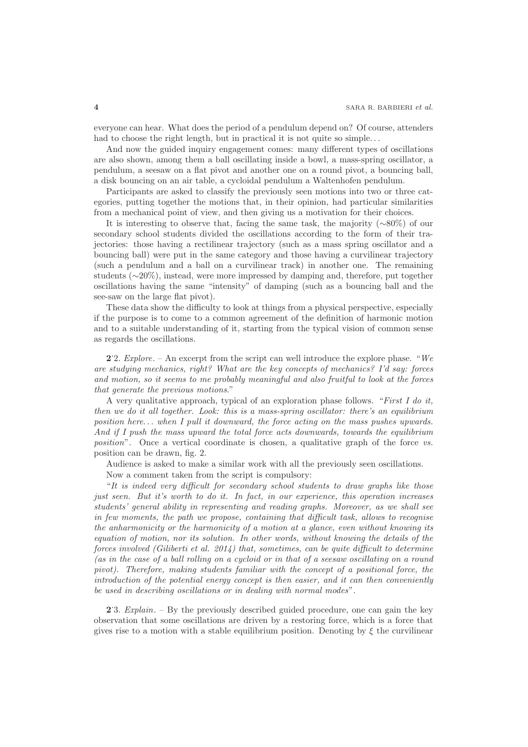everyone can hear. What does the period of a pendulum depend on? Of course, attenders had to choose the right length, but in practical it is not quite so simple...

And now the guided inquiry engagement comes: many different types of oscillations are also shown, among them a ball oscillating inside a bowl, a mass-spring oscillator, a pendulum, a seesaw on a flat pivot and another one on a round pivot, a bouncing ball, a disk bouncing on an air table, a cycloidal pendulum a Waltenhofen pendulum.

Participants are asked to classify the previously seen motions into two or three categories, putting together the motions that, in their opinion, had particular similarities from a mechanical point of view, and then giving us a motivation for their choices.

It is interesting to observe that, facing the same task, the majority (∼80%) of our secondary school students divided the oscillations according to the form of their trajectories: those having a rectilinear trajectory (such as a mass spring oscillator and a bouncing ball) were put in the same category and those having a curvilinear trajectory (such a pendulum and a ball on a curvilinear track) in another one. The remaining students (∼20%), instead, were more impressed by damping and, therefore, put together oscillations having the same "intensity" of damping (such as a bouncing ball and the see-saw on the large flat pivot).

These data show the difficulty to look at things from a physical perspective, especially if the purpose is to come to a common agreement of the definition of harmonic motion and to a suitable understanding of it, starting from the typical vision of common sense as regards the oscillations.

**2**'2. *Explore*. – An excerpt from the script can well introduce the explore phase. "We are studying mechanics, right? What are the key concepts of mechanics? I'd say: forces and motion, so it seems to me probably meaningful and also fruitful to look at the forces that generate the previous motions."

A very qualitative approach, typical of an exploration phase follows. "First I do it, then we do it all together. Look: this is a mass-spring oscillator: there's an equilibrium position here... when I pull it downward, the force acting on the mass pushes upwards. And if I push the mass upward the total force acts downwards, towards the equilibrium position". Once a vertical coordinate is chosen, a qualitative graph of the force vs. position can be drawn, fig. 2.

Audience is asked to make a similar work with all the previously seen oscillations. Now a comment taken from the script is compulsory:

"It is indeed very difficult for secondary school students to draw graphs like those just seen. But it's worth to do it. In fact, in our experience, this operation increases students' general ability in representing and reading graphs. Moreover, as we shall see in few moments, the path we propose, containing that difficult task, allows to recognise the anharmonicity or the harmonicity of a motion at a glance, even without knowing its equation of motion, nor its solution. In other words, without knowing the details of the forces involved (Giliberti et al. 2014) that, sometimes, can be quite difficult to determine (as in the case of a ball rolling on a cycloid or in that of a seesaw oscillating on a round pivot). Therefore, making students familiar with the concept of a positional force, the introduction of the potential energy concept is then easier, and it can then conveniently be used in describing oscillations or in dealing with normal modes".

**2**. 3. Explain. – By the previously described guided procedure, one can gain the key observation that some oscillations are driven by a restoring force, which is a force that gives rise to a motion with a stable equilibrium position. Denoting by  $\xi$  the curvilinear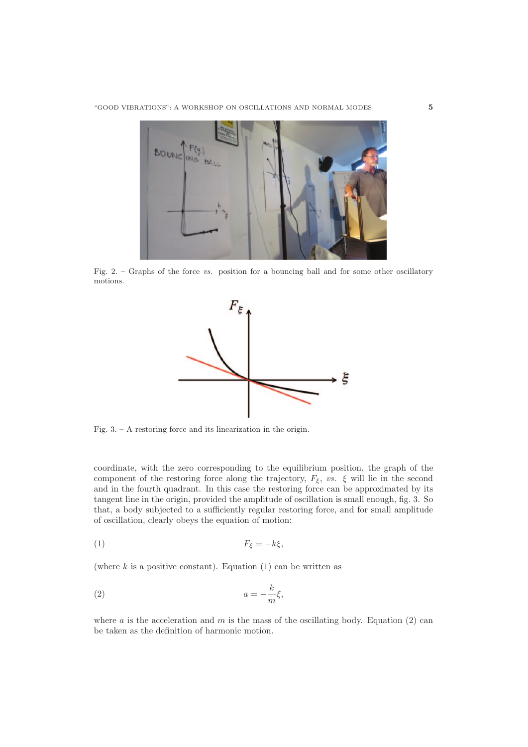

Fig. 2. – Graphs of the force vs. position for a bouncing ball and for some other oscillatory motions.



Fig. 3. – A restoring force and its linearization in the origin.

coordinate, with the zero corresponding to the equilibrium position, the graph of the component of the restoring force along the trajectory,  $F_{\xi}$ , vs.  $\xi$  will lie in the second and in the fourth quadrant. In this case the restoring force can be approximated by its tangent line in the origin, provided the amplitude of oscillation is small enough, fig. 3. So that, a body subjected to a sufficiently regular restoring force, and for small amplitude of oscillation, clearly obeys the equation of motion:

$$
(1) \tF_{\xi} = -k\xi,
$$

(where  $k$  is a positive constant). Equation (1) can be written as

$$
(2) \t\t\t a = -\frac{k}{m}\xi,
$$

where  $a$  is the acceleration and  $m$  is the mass of the oscillating body. Equation (2) can be taken as the definition of harmonic motion.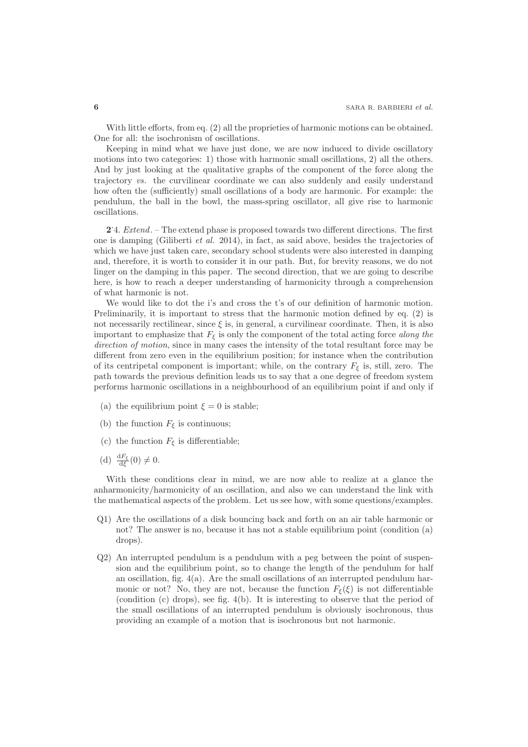With little efforts, from eq. (2) all the proprieties of harmonic motions can be obtained. One for all: the isochronism of oscillations.

Keeping in mind what we have just done, we are now induced to divide oscillatory motions into two categories: 1) those with harmonic small oscillations, 2) all the others. And by just looking at the qualitative graphs of the component of the force along the trajectory vs. the curvilinear coordinate we can also suddenly and easily understand how often the (sufficiently) small oscillations of a body are harmonic. For example: the pendulum, the ball in the bowl, the mass-spring oscillator, all give rise to harmonic oscillations.

**2**. 4. Extend. – The extend phase is proposed towards two different directions. The first one is damping (Giliberti *et al.* 2014), in fact, as said above, besides the trajectories of which we have just taken care, secondary school students were also interested in damping and, therefore, it is worth to consider it in our path. But, for brevity reasons, we do not linger on the damping in this paper. The second direction, that we are going to describe here, is how to reach a deeper understanding of harmonicity through a comprehension of what harmonic is not.

We would like to dot the i's and cross the t's of our definition of harmonic motion. Preliminarily, it is important to stress that the harmonic motion defined by eq. (2) is not necessarily rectilinear, since  $\xi$  is, in general, a curvilinear coordinate. Then, it is also important to emphasize that  $F_{\xi}$  is only the component of the total acting force along the direction of motion, since in many cases the intensity of the total resultant force may be different from zero even in the equilibrium position; for instance when the contribution of its centripetal component is important; while, on the contrary  $F_{\xi}$  is, still, zero. The path towards the previous definition leads us to say that a one degree of freedom system performs harmonic oscillations in a neighbourhood of an equilibrium point if and only if

- (a) the equilibrium point  $\xi = 0$  is stable;
- (b) the function  $F_{\xi}$  is continuous;
- (c) the function  $F_{\xi}$  is differentiable;
- (d)  $\frac{dF_{\xi}}{d\xi}(0) \neq 0$ .

With these conditions clear in mind, we are now able to realize at a glance the anharmonicity/harmonicity of an oscillation, and also we can understand the link with the mathematical aspects of the problem. Let us see how, with some questions/examples.

- Q1) Are the oscillations of a disk bouncing back and forth on an air table harmonic or not? The answer is no, because it has not a stable equilibrium point (condition (a) drops).
- Q2) An interrupted pendulum is a pendulum with a peg between the point of suspension and the equilibrium point, so to change the length of the pendulum for half an oscillation, fig. 4(a). Are the small oscillations of an interrupted pendulum harmonic or not? No, they are not, because the function  $F_{\xi}(\xi)$  is not differentiable (condition (c) drops), see fig. 4(b). It is interesting to observe that the period of the small oscillations of an interrupted pendulum is obviously isochronous, thus providing an example of a motion that is isochronous but not harmonic.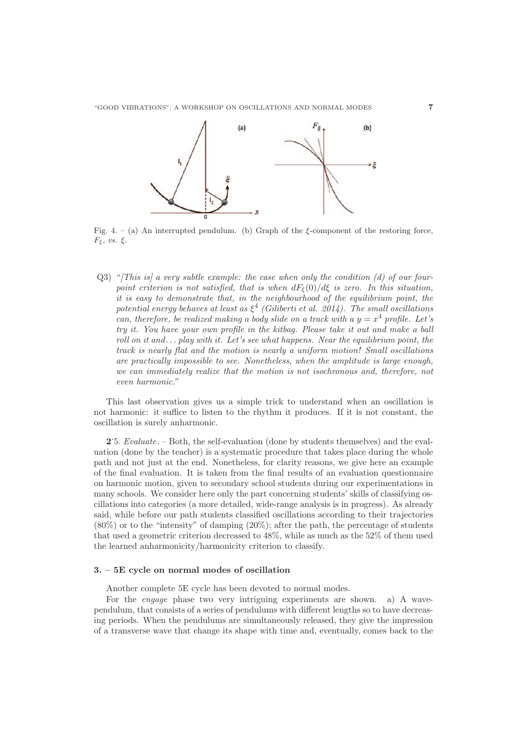

Fig. 4. – (a) An interrupted pendulum. (b) Graph of the ξ-component of the restoring force, Fξ, vs. ξ.

 $Q3$ ) "[This is] a very subtle example: the case when only the condition (d) of our fourpoint criterion is not satisfied, that is when  $dF_{\xi}(0)/d\xi$  is zero. In this situation, it is easy to demonstrate that, in the neighbourhood of the equilibrium point, the potential energy behaves at least as  $\xi^4$  (Giliberti et al. 2014). The small oscillations can, therefore, be realized making a body slide on a track with a  $y = x^4$  profile. Let's try it. You have your own profile in the kitbag. Please take it out and make a ball roll on it and... play with it. Let's see what happens. Near the equilibrium point, the track is nearly flat and the motion is nearly a uniform motion! Small oscillations are practically impossible to see. Nonetheless, when the amplitude is large enough, we can immediately realize that the motion is not isochronous and, therefore, not even harmonic."

This last observation gives us a simple trick to understand when an oscillation is not harmonic: it suffice to listen to the rhythm it produces. If it is not constant, the oscillation is surely anharmonic.

**2**. 5. Evaluate. – Both, the self-evaluation (done by students themselves) and the evaluation (done by the teacher) is a systematic procedure that takes place during the whole path and not just at the end. Nonetheless, for clarity reasons, we give here an example of the final evaluation. It is taken from the final results of an evaluation questionnaire on harmonic motion, given to secondary school students during our experimentations in many schools. We consider here only the part concerning students' skills of classifying oscillations into categories (a more detailed, wide-range analysis is in progress). As already said, while before our path students classified oscillations according to their trajectories (80%) or to the "intensity" of damping (20%); after the path, the percentage of students that used a geometric criterion decreased to 48%, while as much as the 52% of them used the learned anharmonicity/harmonicity criterion to classify.

### **3. – 5E cycle on normal modes of oscillation**

Another complete 5E cycle has been devoted to normal modes.

For the engage phase two very intriguing experiments are shown. a) A wavependulum, that consists of a series of pendulums with different lengths so to have decreasing periods. When the pendulums are simultaneously released, they give the impression of a transverse wave that change its shape with time and, eventually, comes back to the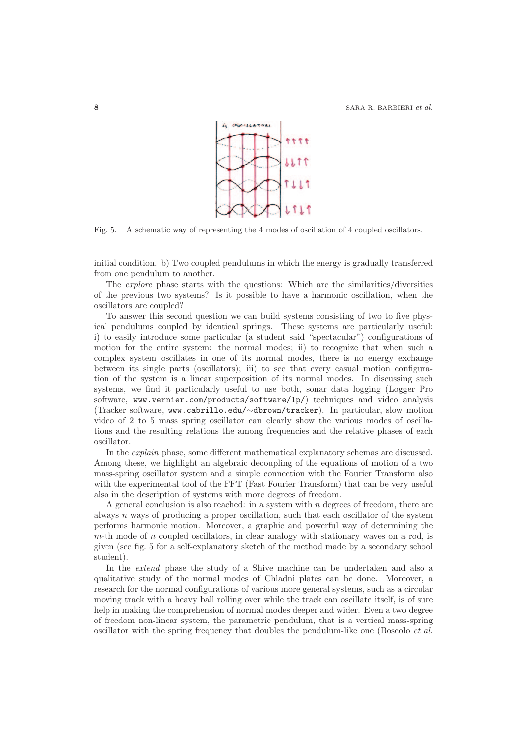

Fig. 5. – A schematic way of representing the 4 modes of oscillation of 4 coupled oscillators.

initial condition. b) Two coupled pendulums in which the energy is gradually transferred from one pendulum to another.

The explore phase starts with the questions: Which are the similarities/diversities of the previous two systems? Is it possible to have a harmonic oscillation, when the oscillators are coupled?

To answer this second question we can build systems consisting of two to five physical pendulums coupled by identical springs. These systems are particularly useful: i) to easily introduce some particular (a student said "spectacular") configurations of motion for the entire system: the normal modes; ii) to recognize that when such a complex system oscillates in one of its normal modes, there is no energy exchange between its single parts (oscillators); iii) to see that every casual motion configuration of the system is a linear superposition of its normal modes. In discussing such systems, we find it particularly useful to use both, sonar data logging (Logger Pro software, www.vernier.com/products/software/lp/) techniques and video analysis (Tracker software, www.cabrillo.edu/∼dbrown/tracker). In particular, slow motion video of 2 to 5 mass spring oscillator can clearly show the various modes of oscillations and the resulting relations the among frequencies and the relative phases of each oscillator.

In the explain phase, some different mathematical explanatory schemas are discussed. Among these, we highlight an algebraic decoupling of the equations of motion of a two mass-spring oscillator system and a simple connection with the Fourier Transform also with the experimental tool of the FFT (Fast Fourier Transform) that can be very useful also in the description of systems with more degrees of freedom.

A general conclusion is also reached: in a system with  $n$  degrees of freedom, there are always n ways of producing a proper oscillation, such that each oscillator of the system performs harmonic motion. Moreover, a graphic and powerful way of determining the  $m$ -th mode of  $n$  coupled oscillators, in clear analogy with stationary waves on a rod, is given (see fig. 5 for a self-explanatory sketch of the method made by a secondary school student).

In the extend phase the study of a Shive machine can be undertaken and also a qualitative study of the normal modes of Chladni plates can be done. Moreover, a research for the normal configurations of various more general systems, such as a circular moving track with a heavy ball rolling over while the track can oscillate itself, is of sure help in making the comprehension of normal modes deeper and wider. Even a two degree of freedom non-linear system, the parametric pendulum, that is a vertical mass-spring oscillator with the spring frequency that doubles the pendulum-like one (Boscolo et al.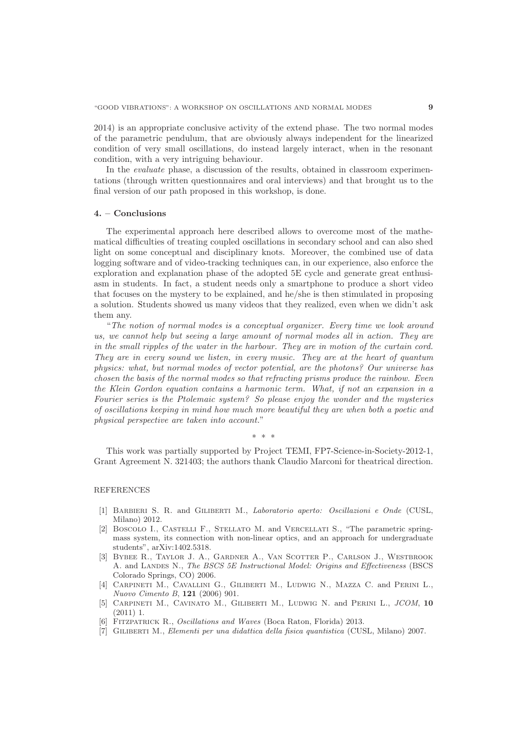2014) is an appropriate conclusive activity of the extend phase. The two normal modes of the parametric pendulum, that are obviously always independent for the linearized condition of very small oscillations, do instead largely interact, when in the resonant condition, with a very intriguing behaviour.

In the evaluate phase, a discussion of the results, obtained in classroom experimentations (through written questionnaires and oral interviews) and that brought us to the final version of our path proposed in this workshop, is done.

#### **4. – Conclusions**

The experimental approach here described allows to overcome most of the mathematical difficulties of treating coupled oscillations in secondary school and can also shed light on some conceptual and disciplinary knots. Moreover, the combined use of data logging software and of video-tracking techniques can, in our experience, also enforce the exploration and explanation phase of the adopted 5E cycle and generate great enthusiasm in students. In fact, a student needs only a smartphone to produce a short video that focuses on the mystery to be explained, and he/she is then stimulated in proposing a solution. Students showed us many videos that they realized, even when we didn't ask them any.

"The notion of normal modes is a conceptual organizer. Every time we look around us, we cannot help but seeing a large amount of normal modes all in action. They are in the small ripples of the water in the harbour. They are in motion of the curtain cord. They are in every sound we listen, in every music. They are at the heart of quantum physics: what, but normal modes of vector potential, are the photons? Our universe has chosen the basis of the normal modes so that refracting prisms produce the rainbow. Even the Klein Gordon equation contains a harmonic term. What, if not an expansion in a Fourier series is the Ptolemaic system? So please enjoy the wonder and the mysteries of oscillations keeping in mind how much more beautiful they are when both a poetic and physical perspective are taken into account."

∗∗∗

This work was partially supported by Project TEMI, FP7-Science-in-Society-2012-1, Grant Agreement N. 321403; the authors thank Claudio Marconi for theatrical direction.

### REFERENCES

- [1] Barbieri S. R. and Giliberti M., Laboratorio aperto: Oscillazioni e Onde (CUSL, Milano) 2012.
- [2] Boscolo I., Castelli F., Stellato M. and Vercellati S., "The parametric springmass system, its connection with non-linear optics, and an approach for undergraduate students", arXiv:1402.5318.
- [3] Bybee R., Taylor J. A., Gardner A., Van Scotter P., Carlson J., Westbrook A. and LANDES N., The BSCS 5E Instructional Model: Origins and Effectiveness (BSCS Colorado Springs, CO) 2006.
- [4] Carpineti M., Cavallini G., Giliberti M., Ludwig N., Mazza C. and Perini L., Nuovo Cimento B, **121** (2006) 901.
- [5] Carpineti M., Cavinato M., Giliberti M., Ludwig N. and Perini L., JCOM, **10** (2011) 1.
- FITZPATRICK R., Oscillations and Waves (Boca Raton, Florida) 2013.
- [7] Giliberti M., Elementi per una didattica della fisica quantistica (CUSL, Milano) 2007.